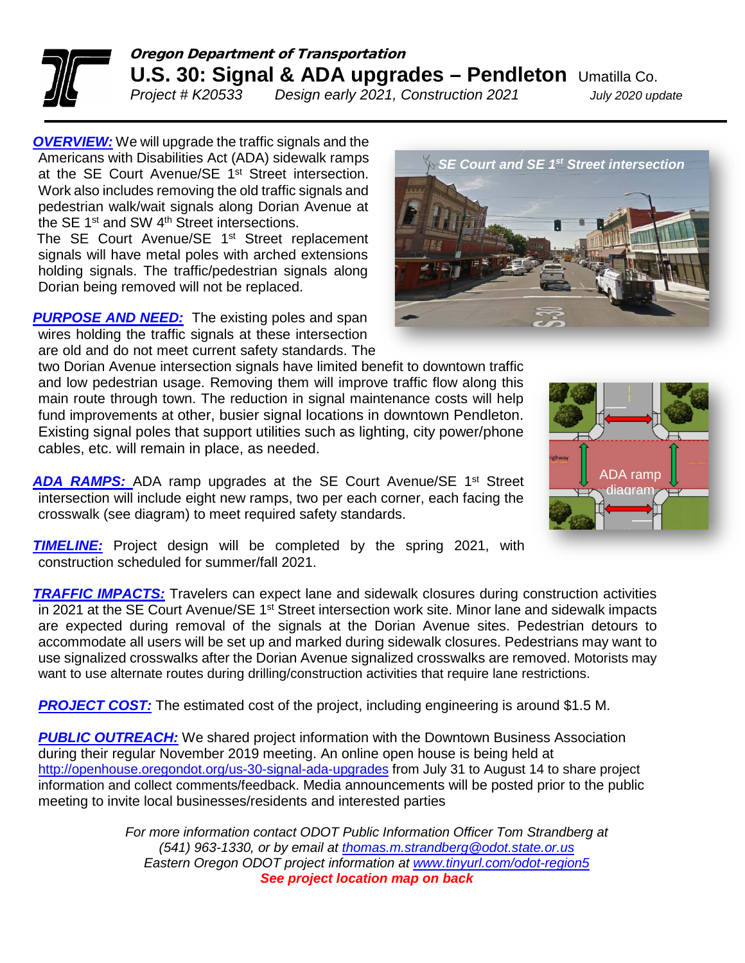

## Oregon Department of Transportation **U.S. 30: Signal & ADA upgrades – Pendleton** Umatilla Co.

*Project # K20533 Design early 2021, Construction 2021 July 2020 update*

*OVERVIEW:* We will upgrade the traffic signals and the Americans with Disabilities Act (ADA) sidewalk ramps at the SE Court Avenue/SE 1<sup>st</sup> Street intersection. Work also includes removing the old traffic signals and pedestrian walk/wait signals along Dorian Avenue at the SE 1<sup>st</sup> and SW 4<sup>th</sup> Street intersections.

The SE Court Avenue/SE 1<sup>st</sup> Street replacement signals will have metal poles with arched extensions holding signals. The traffic/pedestrian signals along Dorian being removed will not be replaced.

**PURPOSE AND NEED:** The existing poles and span wires holding the traffic signals at these intersection are old and do not meet current safety standards. The

two Dorian Avenue intersection signals have limited benefit to downtown traffic and low pedestrian usage. Removing them will improve traffic flow along this main route through town. The reduction in signal maintenance costs will help fund improvements at other, busier signal locations in downtown Pendleton. Existing signal poles that support utilities such as lighting, city power/phone cables, etc. will remain in place, as needed.

*ADA RAMPS:* ADA ramp upgrades at the SE Court Avenue/SE 1st Street intersection will include eight new ramps, two per each corner, each facing the crosswalk (see diagram) to meet required safety standards.

**TIMELINE:** Project design will be completed by the spring 2021, with construction scheduled for summer/fall 2021.

*TRAFFIC IMPACTS:* Travelers can expect lane and sidewalk closures during construction activities in 2021 at the SE Court Avenue/SE 1st Street intersection work site. Minor lane and sidewalk impacts are expected during removal of the signals at the Dorian Avenue sites. Pedestrian detours to accommodate all users will be set up and marked during sidewalk closures. Pedestrians may want to use signalized crosswalks after the Dorian Avenue signalized crosswalks are removed. Motorists may want to use alternate routes during drilling/construction activities that require lane restrictions.

**PROJECT COST:** The estimated cost of the project, including engineering is around \$1.5 M.

**PUBLIC OUTREACH:** We shared project information with the Downtown Business Association during their regular November 2019 meeting. An online open house is being held at <http://openhouse.oregondot.org/us-30-signal-ada-upgrades> from July 31 to August 14 to share project information and collect comments/feedback. Media announcements will be posted prior to the public meeting to invite local businesses/residents and interested parties

> *For more information contact ODOT Public Information Officer Tom Strandberg at (541) 963-1330, or by email at [thomas.m.strandberg@odot.state.or.us](mailto:thomas.m.strandberg@odot.state.or.us) Eastern Oregon ODOT project information at [www.tinyurl.com/odot-region5](http://www.tinyurl.com/odot-region5) See project location map on back*



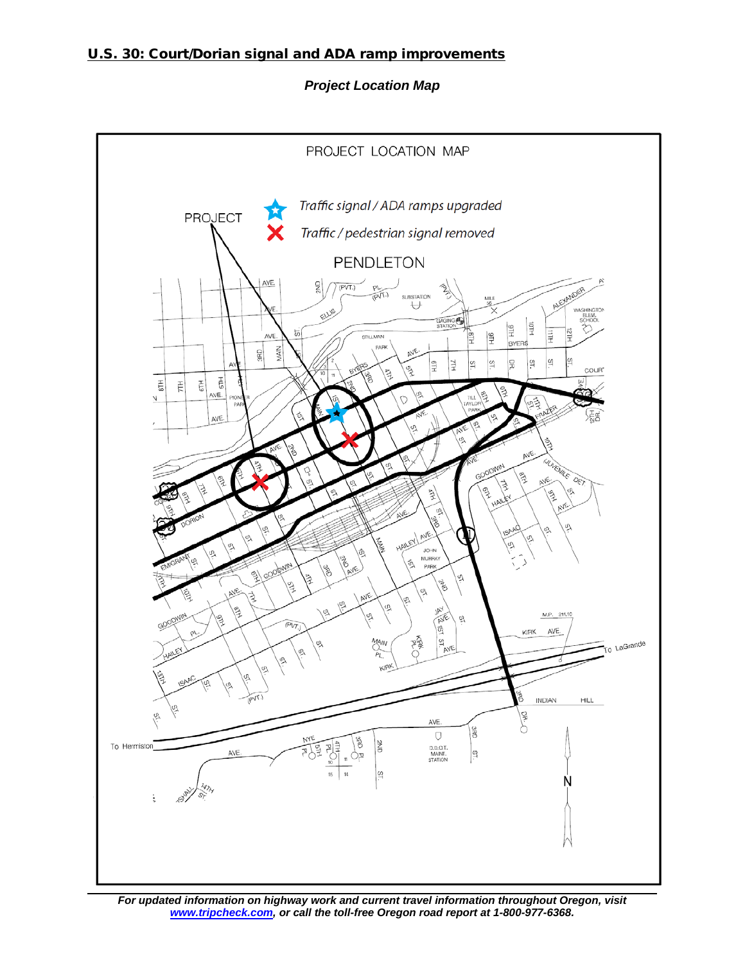## U.S. 30: Court/Dorian signal and ADA ramp improvements

*Project Location Map*



*For updated information on highway work and current travel information throughout Oregon, visit [www.tripcheck.com,](http://www.tripcheck.com/) or call the toll-free Oregon road report at 1-800-977-6368.*